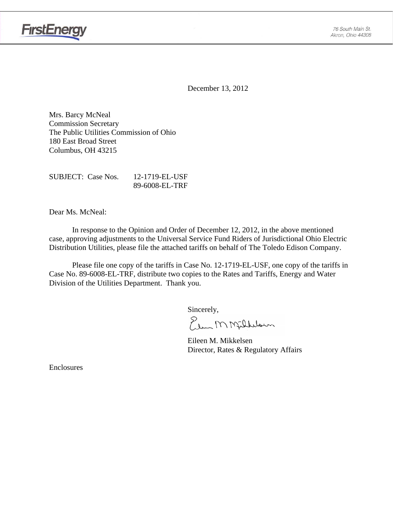

December 13, 2012

Mrs. Barcy McNeal Commission Secretary The Public Utilities Commission of Ohio 180 East Broad Street Columbus, OH 43215

SUBJECT: Case Nos. 12-1719-EL-USF 89-6008-EL-TRF

Dear Ms. McNeal:

In response to the Opinion and Order of December 12, 2012, in the above mentioned case, approving adjustments to the Universal Service Fund Riders of Jurisdictional Ohio Electric Distribution Utilities, please file the attached tariffs on behalf of The Toledo Edison Company.

Please file one copy of the tariffs in Case No. 12-1719-EL-USF, one copy of the tariffs in Case No. 89-6008-EL-TRF, distribute two copies to the Rates and Tariffs, Energy and Water Division of the Utilities Department. Thank you.

Sincerely,<br>Elem M Millelsun

 Eileen M. Mikkelsen Director, Rates & Regulatory Affairs

Enclosures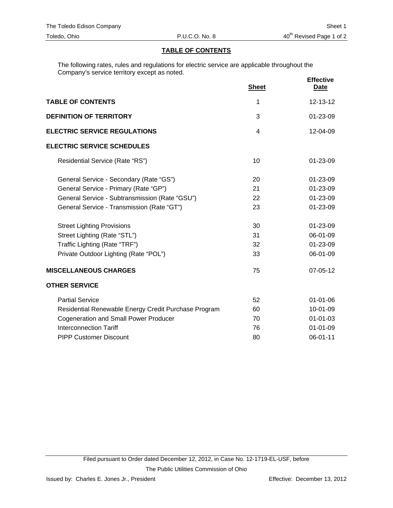## **TABLE OF CONTENTS**

The following rates, rules and regulations for electric service are applicable throughout the Company's service territory except as noted.

|                                                      | <b>Sheet</b>   | <b>Effective</b><br><b>Date</b> |
|------------------------------------------------------|----------------|---------------------------------|
| <b>TABLE OF CONTENTS</b>                             | 1              | 12-13-12                        |
| <b>DEFINITION OF TERRITORY</b>                       | 3              | 01-23-09                        |
| <b>ELECTRIC SERVICE REGULATIONS</b>                  | $\overline{4}$ | 12-04-09                        |
| <b>ELECTRIC SERVICE SCHEDULES</b>                    |                |                                 |
| Residential Service (Rate "RS")                      | 10             | $01 - 23 - 09$                  |
| General Service - Secondary (Rate "GS")              | 20             | 01-23-09                        |
| General Service - Primary (Rate "GP")                | 21             | $01 - 23 - 09$                  |
| General Service - Subtransmission (Rate "GSU")       | 22             | 01-23-09                        |
| General Service - Transmission (Rate "GT")           | 23             | 01-23-09                        |
| <b>Street Lighting Provisions</b>                    | 30             | $01 - 23 - 09$                  |
| Street Lighting (Rate "STL")                         | 31             | 06-01-09                        |
| Traffic Lighting (Rate "TRF")                        | 32             | 01-23-09                        |
| Private Outdoor Lighting (Rate "POL")                | 33             | 06-01-09                        |
| <b>MISCELLANEOUS CHARGES</b>                         | 75             | 07-05-12                        |
| <b>OTHER SERVICE</b>                                 |                |                                 |
| <b>Partial Service</b>                               | 52             | $01 - 01 - 06$                  |
| Residential Renewable Energy Credit Purchase Program | 60             | 10-01-09                        |
| <b>Cogeneration and Small Power Producer</b>         | 70             | $01 - 01 - 03$                  |
| <b>Interconnection Tariff</b>                        | 76             | $01 - 01 - 09$                  |
| <b>PIPP Customer Discount</b>                        | 80             | 06-01-11                        |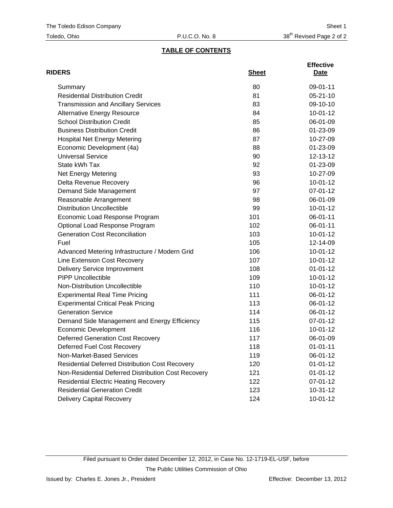## **TABLE OF CONTENTS**

| <b>RIDERS</b>                                          | <b>Sheet</b> | <b>Effective</b><br>Date |
|--------------------------------------------------------|--------------|--------------------------|
| Summary                                                | 80           | 09-01-11                 |
| <b>Residential Distribution Credit</b>                 | 81           | $05 - 21 - 10$           |
| <b>Transmission and Ancillary Services</b>             | 83           | 09-10-10                 |
| <b>Alternative Energy Resource</b>                     | 84           | $10-01-12$               |
| <b>School Distribution Credit</b>                      | 85           | 06-01-09                 |
| <b>Business Distribution Credit</b>                    | 86           | 01-23-09                 |
| <b>Hospital Net Energy Metering</b>                    | 87           | 10-27-09                 |
| Economic Development (4a)                              | 88           | 01-23-09                 |
| <b>Universal Service</b>                               | 90           | 12-13-12                 |
| State kWh Tax                                          | 92           | 01-23-09                 |
| <b>Net Energy Metering</b>                             | 93           | 10-27-09                 |
| Delta Revenue Recovery                                 | 96           | $10-01-12$               |
| Demand Side Management                                 | 97           | 07-01-12                 |
| Reasonable Arrangement                                 | 98           | 06-01-09                 |
| <b>Distribution Uncollectible</b>                      | 99           | $10-01-12$               |
| Economic Load Response Program                         | 101          | 06-01-11                 |
| Optional Load Response Program                         | 102          | 06-01-11                 |
| <b>Generation Cost Reconciliation</b>                  | 103          | $10-01-12$               |
| Fuel                                                   | 105          | 12-14-09                 |
| Advanced Metering Infrastructure / Modern Grid         | 106          | $10-01-12$               |
| Line Extension Cost Recovery                           | 107          | $10-01-12$               |
| <b>Delivery Service Improvement</b>                    | 108          | $01 - 01 - 12$           |
| <b>PIPP Uncollectible</b>                              | 109          | $10-01-12$               |
| Non-Distribution Uncollectible                         | 110          | 10-01-12                 |
| <b>Experimental Real Time Pricing</b>                  | 111          | 06-01-12                 |
| <b>Experimental Critical Peak Pricing</b>              | 113          | 06-01-12                 |
| <b>Generation Service</b>                              | 114          | 06-01-12                 |
| Demand Side Management and Energy Efficiency           | 115          | 07-01-12                 |
| <b>Economic Development</b>                            | 116          | $10-01-12$               |
| <b>Deferred Generation Cost Recovery</b>               | 117          | 06-01-09                 |
| Deferred Fuel Cost Recovery                            | 118          | $01 - 01 - 11$           |
| Non-Market-Based Services                              | 119          | 06-01-12                 |
| <b>Residential Deferred Distribution Cost Recovery</b> | 120          | $01 - 01 - 12$           |
| Non-Residential Deferred Distribution Cost Recovery    | 121          | $01 - 01 - 12$           |
| <b>Residential Electric Heating Recovery</b>           | 122          | 07-01-12                 |
| <b>Residential Generation Credit</b>                   | 123          | 10-31-12                 |
| <b>Delivery Capital Recovery</b>                       | 124          | $10 - 01 - 12$           |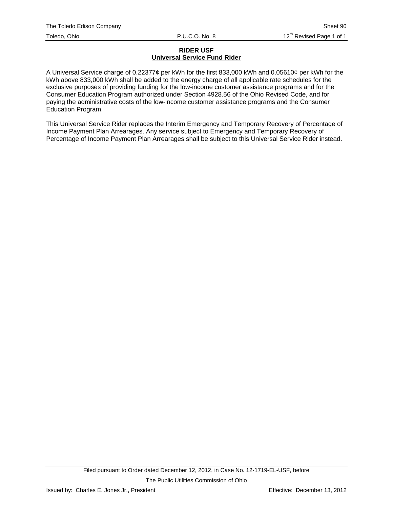## **RIDER USF Universal Service Fund Rider**

A Universal Service charge of 0.22377¢ per kWh for the first 833,000 kWh and 0.05610¢ per kWh for the kWh above 833,000 kWh shall be added to the energy charge of all applicable rate schedules for the exclusive purposes of providing funding for the low-income customer assistance programs and for the Consumer Education Program authorized under Section 4928.56 of the Ohio Revised Code, and for paying the administrative costs of the low-income customer assistance programs and the Consumer Education Program.

This Universal Service Rider replaces the Interim Emergency and Temporary Recovery of Percentage of Income Payment Plan Arrearages. Any service subject to Emergency and Temporary Recovery of Percentage of Income Payment Plan Arrearages shall be subject to this Universal Service Rider instead.